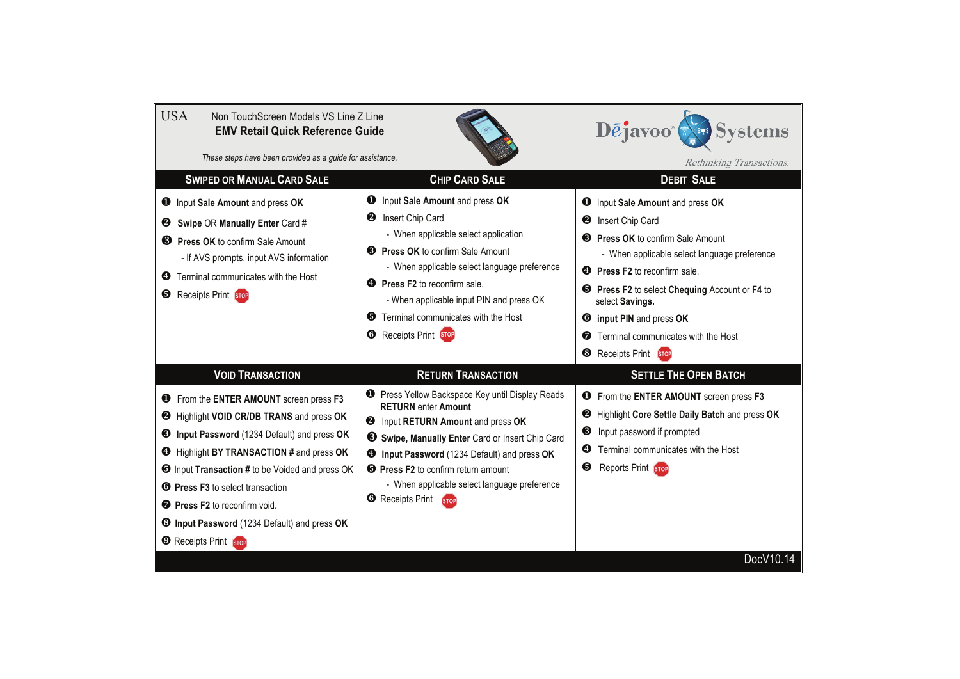| <b>USA</b><br>Non TouchScreen Models VS Line Z Line<br>Dejavoo <sup>®</sup><br><b>Systems</b><br><b>EMV Retail Quick Reference Guide</b><br>These steps have been provided as a guide for assistance.                                                                                                                                                                                                                                                           |                                                                                                                                                                                                                                                                                                                                                                                                       |                                                                                                                                                                                                                                                                                                                                                                                                         |
|-----------------------------------------------------------------------------------------------------------------------------------------------------------------------------------------------------------------------------------------------------------------------------------------------------------------------------------------------------------------------------------------------------------------------------------------------------------------|-------------------------------------------------------------------------------------------------------------------------------------------------------------------------------------------------------------------------------------------------------------------------------------------------------------------------------------------------------------------------------------------------------|---------------------------------------------------------------------------------------------------------------------------------------------------------------------------------------------------------------------------------------------------------------------------------------------------------------------------------------------------------------------------------------------------------|
| <b>SWIPED OR MANUAL CARD SALE</b><br><b>CHIP CARD SALE</b>                                                                                                                                                                                                                                                                                                                                                                                                      |                                                                                                                                                                                                                                                                                                                                                                                                       | Rethinking Transactions.<br><b>DEBIT SALE</b>                                                                                                                                                                                                                                                                                                                                                           |
| <b>O</b> Input Sale Amount and press OK<br><b>2</b> Swipe OR Manually Enter Card #<br><b>B</b> Press OK to confirm Sale Amount<br>- If AVS prompts, input AVS information<br>Terminal communicates with the Host<br>ø<br><b>B</b> Receipts Print STOP                                                                                                                                                                                                           | $\mathbf 0$<br>Input Sale Amount and press OK<br>Insert Chip Card<br>❷<br>- When applicable select application<br><b>8</b> Press OK to confirm Sale Amount<br>- When applicable select language preference<br><b>O</b> Press F2 to reconfirm sale.<br>- When applicable input PIN and press OK<br><b>6</b> Terminal communicates with the Host<br><b>Receipts Print</b> STOP<br>❻                     | <b>O</b> Input Sale Amount and press OK<br><b>2</b> Insert Chip Card<br><b>8</b> Press OK to confirm Sale Amount<br>- When applicable select language preference<br><b>4</b> Press F2 to reconfirm sale.<br><b>S</b> Press F2 to select Chequing Account or F4 to<br>select Savings.<br><b>O</b> input PIN and press OK<br>Terminal communicates with the Host<br>❼<br><sup>6</sup> Receipts Print STOP |
| <b>VOID TRANSACTION</b><br><b>O</b> From the ENTER AMOUNT screen press F3<br><b>@</b> Highlight VOID CR/DB TRANS and press OK<br>Input Password (1234 Default) and press OK<br>❸<br>Highlight BY TRANSACTION # and press OK<br><b>O</b> Input Transaction # to be Voided and press OK<br><b>O</b> Press F3 to select transaction<br><b>O</b> Press F2 to reconfirm void.<br><b>3 Input Password</b> (1234 Default) and press OK<br><b>E</b> Receipts Print STOP | <b>RETURN TRANSACTION</b><br><b>O</b> Press Yellow Backspace Key until Display Reads<br><b>RETURN</b> enter Amount<br>Input RETURN Amount and press OK<br>❷<br>So Swipe, Manually Enter Card or Insert Chip Card<br><b>4</b> Input Password (1234 Default) and press OK<br><b>O</b> Press F2 to confirm return amount<br>- When applicable select language preference<br><b>6</b> Receipts Print STOP | <b>SETTLE THE OPEN BATCH</b><br><b>O</b> From the ENTER AMOUNT screen press F3<br>Highlight Core Settle Daily Batch and press OK<br>❷<br>❸<br>Input password if prompted<br>Terminal communicates with the Host<br>ø<br><b>Reports Print</b> STOP<br>❺<br>DocV10.14                                                                                                                                     |